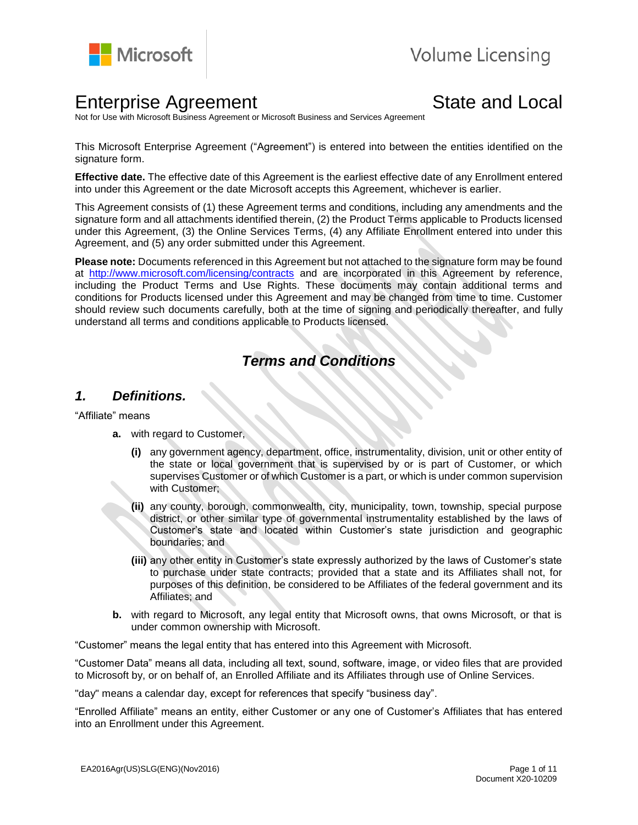

# **Enterprise Agreement** State and Local

Not for Use with Microsoft Business Agreement or Microsoft Business and Services Agreement

This Microsoft Enterprise Agreement ("Agreement") is entered into between the entities identified on the signature form.

**Effective date.** The effective date of this Agreement is the earliest effective date of any Enrollment entered into under this Agreement or the date Microsoft accepts this Agreement, whichever is earlier.

This Agreement consists of (1) these Agreement terms and conditions, including any amendments and the signature form and all attachments identified therein, (2) the Product Terms applicable to Products licensed under this Agreement, (3) the Online Services Terms, (4) any Affiliate Enrollment entered into under this Agreement, and (5) any order submitted under this Agreement.

**Please note:** Documents referenced in this Agreement but not attached to the signature form may be found at<http://www.microsoft.com/licensing/contracts> and are incorporated in this Agreement by reference, including the Product Terms and Use Rights. These documents may contain additional terms and conditions for Products licensed under this Agreement and may be changed from time to time. Customer should review such documents carefully, both at the time of signing and periodically thereafter, and fully understand all terms and conditions applicable to Products licensed.

# *Terms and Conditions*

#### *1. Definitions.*

"Affiliate" means

- **a.** with regard to Customer,
	- **(i)** any government agency, department, office, instrumentality, division, unit or other entity of the state or local government that is supervised by or is part of Customer, or which supervises Customer or of which Customer is a part, or which is under common supervision with Customer;
	- **(ii)** any county, borough, commonwealth, city, municipality, town, township, special purpose district, or other similar type of governmental instrumentality established by the laws of Customer's state and located within Customer's state jurisdiction and geographic boundaries; and
	- **(iii)** any other entity in Customer's state expressly authorized by the laws of Customer's state to purchase under state contracts; provided that a state and its Affiliates shall not, for purposes of this definition, be considered to be Affiliates of the federal government and its Affiliates; and
- **b.** with regard to Microsoft, any legal entity that Microsoft owns, that owns Microsoft, or that is under common ownership with Microsoft.

"Customer" means the legal entity that has entered into this Agreement with Microsoft.

"Customer Data" means all data, including all text, sound, software, image, or video files that are provided to Microsoft by, or on behalf of, an Enrolled Affiliate and its Affiliates through use of Online Services.

"day" means a calendar day, except for references that specify "business day".

"Enrolled Affiliate" means an entity, either Customer or any one of Customer's Affiliates that has entered into an Enrollment under this Agreement.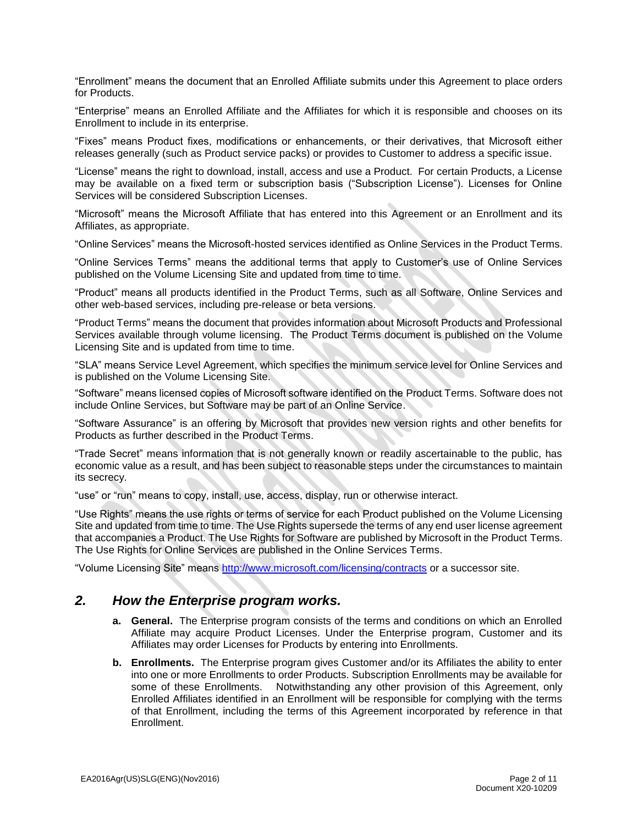"Enrollment" means the document that an Enrolled Affiliate submits under this Agreement to place orders for Products.

"Enterprise" means an Enrolled Affiliate and the Affiliates for which it is responsible and chooses on its Enrollment to include in its enterprise.

"Fixes" means Product fixes, modifications or enhancements, or their derivatives, that Microsoft either releases generally (such as Product service packs) or provides to Customer to address a specific issue.

"License" means the right to download, install, access and use a Product. For certain Products, a License may be available on a fixed term or subscription basis ("Subscription License"). Licenses for Online Services will be considered Subscription Licenses.

"Microsoft" means the Microsoft Affiliate that has entered into this Agreement or an Enrollment and its Affiliates, as appropriate.

"Online Services" means the Microsoft-hosted services identified as Online Services in the Product Terms.

"Online Services Terms" means the additional terms that apply to Customer's use of Online Services published on the Volume Licensing Site and updated from time to time.

"Product" means all products identified in the Product Terms, such as all Software, Online Services and other web-based services, including pre-release or beta versions.

"Product Terms" means the document that provides information about Microsoft Products and Professional Services available through volume licensing. The Product Terms document is published on the Volume Licensing Site and is updated from time to time.

"SLA" means Service Level Agreement, which specifies the minimum service level for Online Services and is published on the Volume Licensing Site.

"Software" means licensed copies of Microsoft software identified on the Product Terms. Software does not include Online Services, but Software may be part of an Online Service.

"Software Assurance" is an offering by Microsoft that provides new version rights and other benefits for Products as further described in the Product Terms.

"Trade Secret" means information that is not generally known or readily ascertainable to the public, has economic value as a result, and has been subject to reasonable steps under the circumstances to maintain its secrecy.

"use" or "run" means to copy, install, use, access, display, run or otherwise interact.

"Use Rights" means the use rights or terms of service for each Product published on the Volume Licensing Site and updated from time to time. The Use Rights supersede the terms of any end user license agreement that accompanies a Product. The Use Rights for Software are published by Microsoft in the Product Terms. The Use Rights for Online Services are published in the Online Services Terms.

"Volume Licensing Site" means<http://www.microsoft.com/licensing/contracts> or a successor site.

#### *2. How the Enterprise program works.*

- **a. General.** The Enterprise program consists of the terms and conditions on which an Enrolled Affiliate may acquire Product Licenses. Under the Enterprise program, Customer and its Affiliates may order Licenses for Products by entering into Enrollments.
- **b. Enrollments.** The Enterprise program gives Customer and/or its Affiliates the ability to enter into one or more Enrollments to order Products. Subscription Enrollments may be available for some of these Enrollments. Notwithstanding any other provision of this Agreement, only Enrolled Affiliates identified in an Enrollment will be responsible for complying with the terms of that Enrollment, including the terms of this Agreement incorporated by reference in that Enrollment.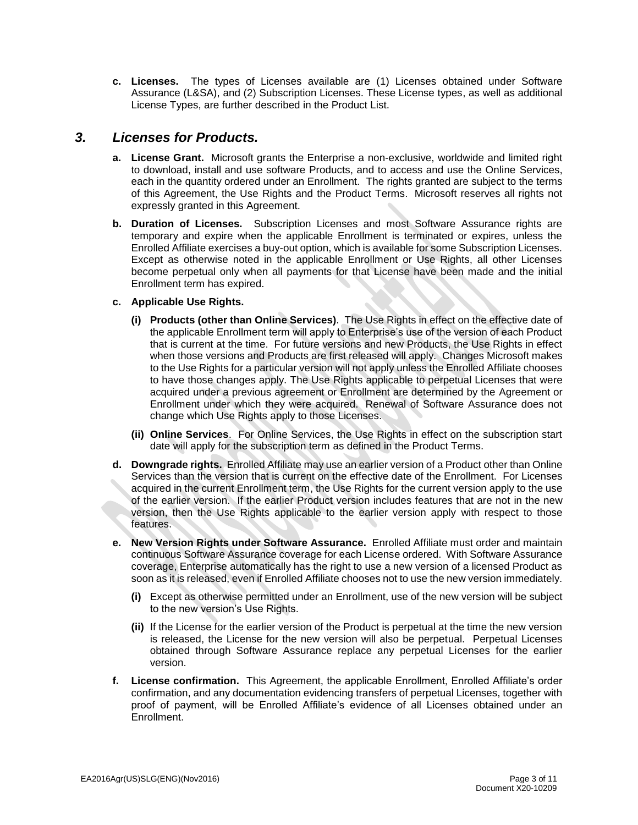**c. Licenses.** The types of Licenses available are (1) Licenses obtained under Software Assurance (L&SA), and (2) Subscription Licenses. These License types, as well as additional License Types, are further described in the Product List.

### *3. Licenses for Products.*

- **a. License Grant.** Microsoft grants the Enterprise a non-exclusive, worldwide and limited right to download, install and use software Products, and to access and use the Online Services, each in the quantity ordered under an Enrollment. The rights granted are subject to the terms of this Agreement, the Use Rights and the Product Terms. Microsoft reserves all rights not expressly granted in this Agreement.
- **b. Duration of Licenses.** Subscription Licenses and most Software Assurance rights are temporary and expire when the applicable Enrollment is terminated or expires, unless the Enrolled Affiliate exercises a buy-out option, which is available for some Subscription Licenses. Except as otherwise noted in the applicable Enrollment or Use Rights, all other Licenses become perpetual only when all payments for that License have been made and the initial Enrollment term has expired.
- **c. Applicable Use Rights.**
	- **(i) Products (other than Online Services)**. The Use Rights in effect on the effective date of the applicable Enrollment term will apply to Enterprise's use of the version of each Product that is current at the time. For future versions and new Products, the Use Rights in effect when those versions and Products are first released will apply. Changes Microsoft makes to the Use Rights for a particular version will not apply unless the Enrolled Affiliate chooses to have those changes apply. The Use Rights applicable to perpetual Licenses that were acquired under a previous agreement or Enrollment are determined by the Agreement or Enrollment under which they were acquired. Renewal of Software Assurance does not change which Use Rights apply to those Licenses.
	- **(ii) Online Services**. For Online Services, the Use Rights in effect on the subscription start date will apply for the subscription term as defined in the Product Terms.
- **d. Downgrade rights.** Enrolled Affiliate may use an earlier version of a Product other than Online Services than the version that is current on the effective date of the Enrollment. For Licenses acquired in the current Enrollment term, the Use Rights for the current version apply to the use of the earlier version. If the earlier Product version includes features that are not in the new version, then the Use Rights applicable to the earlier version apply with respect to those features.
- **e. New Version Rights under Software Assurance.** Enrolled Affiliate must order and maintain continuous Software Assurance coverage for each License ordered. With Software Assurance coverage, Enterprise automatically has the right to use a new version of a licensed Product as soon as it is released, even if Enrolled Affiliate chooses not to use the new version immediately.
	- **(i)** Except as otherwise permitted under an Enrollment, use of the new version will be subject to the new version's Use Rights.
	- **(ii)** If the License for the earlier version of the Product is perpetual at the time the new version is released, the License for the new version will also be perpetual. Perpetual Licenses obtained through Software Assurance replace any perpetual Licenses for the earlier version.
- **f. License confirmation.** This Agreement, the applicable Enrollment, Enrolled Affiliate's order confirmation, and any documentation evidencing transfers of perpetual Licenses, together with proof of payment, will be Enrolled Affiliate's evidence of all Licenses obtained under an Enrollment.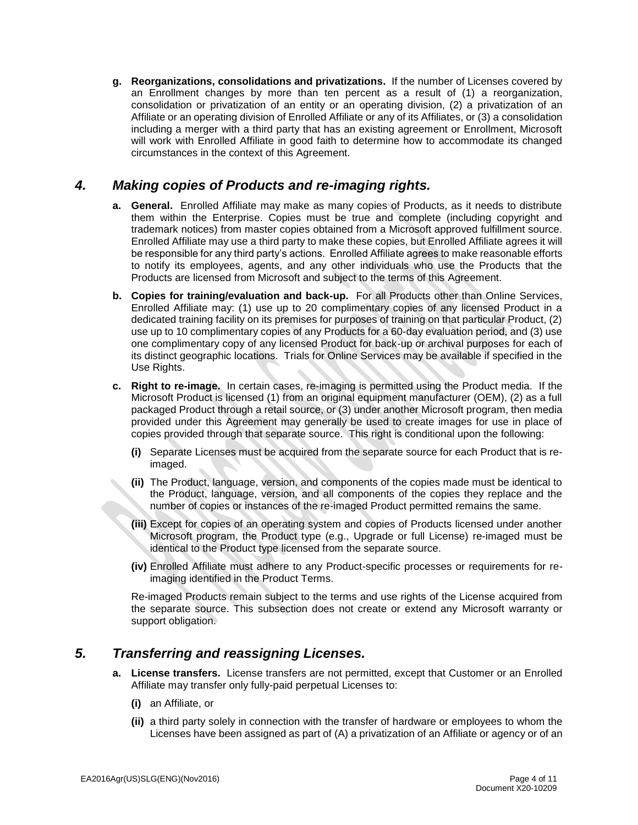**g. Reorganizations, consolidations and privatizations.** If the number of Licenses covered by an Enrollment changes by more than ten percent as a result of (1) a reorganization, consolidation or privatization of an entity or an operating division, (2) a privatization of an Affiliate or an operating division of Enrolled Affiliate or any of its Affiliates, or (3) a consolidation including a merger with a third party that has an existing agreement or Enrollment, Microsoft will work with Enrolled Affiliate in good faith to determine how to accommodate its changed circumstances in the context of this Agreement.

## *4. Making copies of Products and re-imaging rights.*

- **a. General.** Enrolled Affiliate may make as many copies of Products, as it needs to distribute them within the Enterprise. Copies must be true and complete (including copyright and trademark notices) from master copies obtained from a Microsoft approved fulfillment source. Enrolled Affiliate may use a third party to make these copies, but Enrolled Affiliate agrees it will be responsible for any third party's actions. Enrolled Affiliate agrees to make reasonable efforts to notify its employees, agents, and any other individuals who use the Products that the Products are licensed from Microsoft and subject to the terms of this Agreement.
- **b. Copies for training/evaluation and back-up.** For all Products other than Online Services, Enrolled Affiliate may: (1) use up to 20 complimentary copies of any licensed Product in a dedicated training facility on its premises for purposes of training on that particular Product, (2) use up to 10 complimentary copies of any Products for a 60-day evaluation period, and (3) use one complimentary copy of any licensed Product for back-up or archival purposes for each of its distinct geographic locations. Trials for Online Services may be available if specified in the Use Rights.
- **c. Right to re-image.** In certain cases, re-imaging is permitted using the Product media. If the Microsoft Product is licensed (1) from an original equipment manufacturer (OEM), (2) as a full packaged Product through a retail source, or (3) under another Microsoft program, then media provided under this Agreement may generally be used to create images for use in place of copies provided through that separate source. This right is conditional upon the following:
	- **(i)** Separate Licenses must be acquired from the separate source for each Product that is reimaged.
	- **(ii)** The Product, language, version, and components of the copies made must be identical to the Product, language, version, and all components of the copies they replace and the number of copies or instances of the re-imaged Product permitted remains the same.
	- **(iii)** Except for copies of an operating system and copies of Products licensed under another Microsoft program, the Product type (e.g., Upgrade or full License) re-imaged must be identical to the Product type licensed from the separate source.
	- **(iv)** Enrolled Affiliate must adhere to any Product-specific processes or requirements for reimaging identified in the Product Terms.

Re-imaged Products remain subject to the terms and use rights of the License acquired from the separate source. This subsection does not create or extend any Microsoft warranty or support obligation.

# *5. Transferring and reassigning Licenses.*

- **a. License transfers.** License transfers are not permitted, except that Customer or an Enrolled Affiliate may transfer only fully-paid perpetual Licenses to:
	- **(i)** an Affiliate, or
	- **(ii)** a third party solely in connection with the transfer of hardware or employees to whom the Licenses have been assigned as part of (A) a privatization of an Affiliate or agency or of an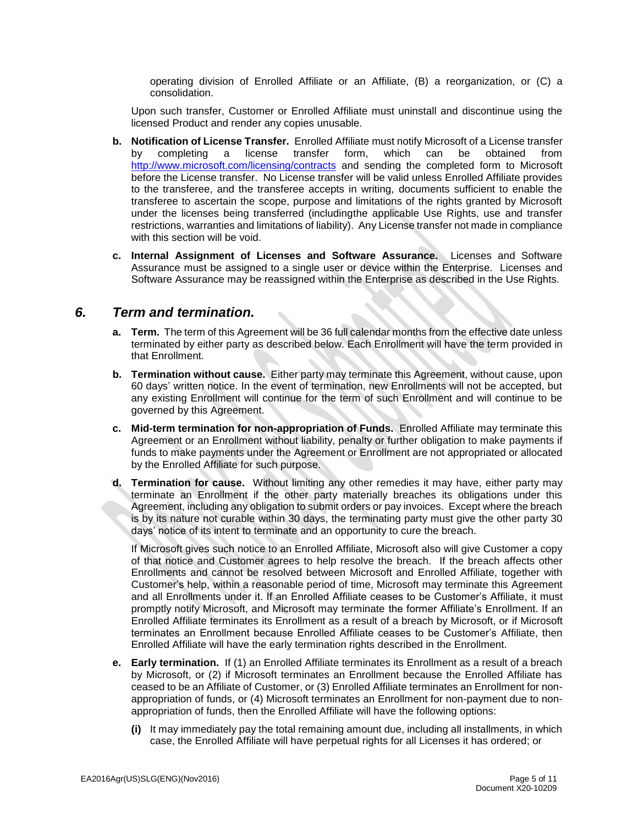operating division of Enrolled Affiliate or an Affiliate, (B) a reorganization, or (C) a consolidation.

Upon such transfer, Customer or Enrolled Affiliate must uninstall and discontinue using the licensed Product and render any copies unusable.

- **b. Notification of License Transfer.** Enrolled Affiliate must notify Microsoft of a License transfer by completing a license transfer form, which can be obtained from <http://www.microsoft.com/licensing/contracts> and sending the completed form to Microsoft before the License transfer. No License transfer will be valid unless Enrolled Affiliate provides to the transferee, and the transferee accepts in writing, documents sufficient to enable the transferee to ascertain the scope, purpose and limitations of the rights granted by Microsoft under the licenses being transferred (includingthe applicable Use Rights, use and transfer restrictions, warranties and limitations of liability). Any License transfer not made in compliance with this section will be void.
- **c. Internal Assignment of Licenses and Software Assurance.** Licenses and Software Assurance must be assigned to a single user or device within the Enterprise. Licenses and Software Assurance may be reassigned within the Enterprise as described in the Use Rights.

#### *6. Term and termination.*

- **a. Term.** The term of this Agreement will be 36 full calendar months from the effective date unless terminated by either party as described below. Each Enrollment will have the term provided in that Enrollment.
- **b. Termination without cause.** Either party may terminate this Agreement, without cause, upon 60 days' written notice. In the event of termination, new Enrollments will not be accepted, but any existing Enrollment will continue for the term of such Enrollment and will continue to be governed by this Agreement.
- **c. Mid-term termination for non-appropriation of Funds.** Enrolled Affiliate may terminate this Agreement or an Enrollment without liability, penalty or further obligation to make payments if funds to make payments under the Agreement or Enrollment are not appropriated or allocated by the Enrolled Affiliate for such purpose.
- **d. Termination for cause.** Without limiting any other remedies it may have, either party may terminate an Enrollment if the other party materially breaches its obligations under this Agreement, including any obligation to submit orders or pay invoices. Except where the breach is by its nature not curable within 30 days, the terminating party must give the other party 30 days' notice of its intent to terminate and an opportunity to cure the breach.

If Microsoft gives such notice to an Enrolled Affiliate, Microsoft also will give Customer a copy of that notice and Customer agrees to help resolve the breach. If the breach affects other Enrollments and cannot be resolved between Microsoft and Enrolled Affiliate, together with Customer's help, within a reasonable period of time, Microsoft may terminate this Agreement and all Enrollments under it. If an Enrolled Affiliate ceases to be Customer's Affiliate, it must promptly notify Microsoft, and Microsoft may terminate the former Affiliate's Enrollment. If an Enrolled Affiliate terminates its Enrollment as a result of a breach by Microsoft, or if Microsoft terminates an Enrollment because Enrolled Affiliate ceases to be Customer's Affiliate, then Enrolled Affiliate will have the early termination rights described in the Enrollment.

- **e. Early termination.** If (1) an Enrolled Affiliate terminates its Enrollment as a result of a breach by Microsoft, or (2) if Microsoft terminates an Enrollment because the Enrolled Affiliate has ceased to be an Affiliate of Customer, or (3) Enrolled Affiliate terminates an Enrollment for nonappropriation of funds, or (4) Microsoft terminates an Enrollment for non-payment due to nonappropriation of funds, then the Enrolled Affiliate will have the following options:
	- **(i)** It may immediately pay the total remaining amount due, including all installments, in which case, the Enrolled Affiliate will have perpetual rights for all Licenses it has ordered; or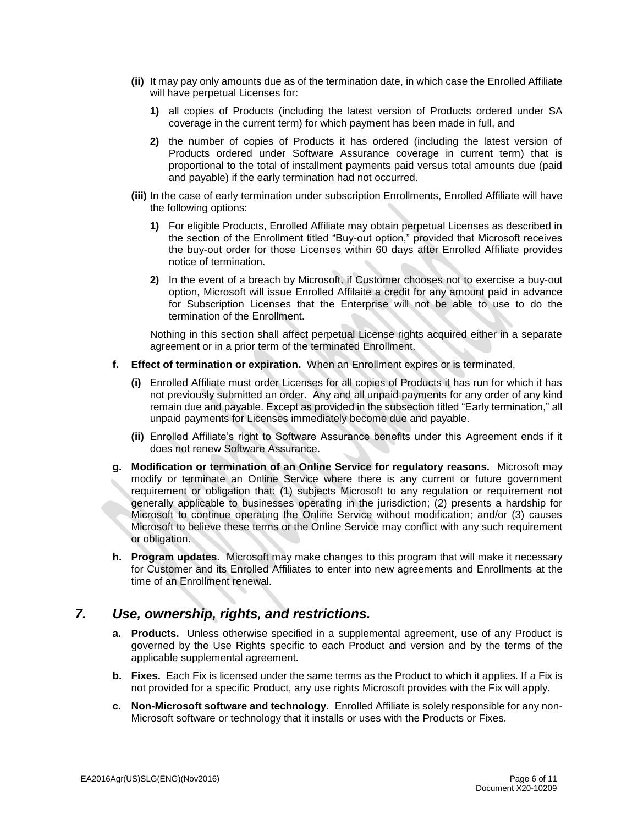- **(ii)** It may pay only amounts due as of the termination date, in which case the Enrolled Affiliate will have perpetual Licenses for:
	- **1)** all copies of Products (including the latest version of Products ordered under SA coverage in the current term) for which payment has been made in full, and
	- **2)** the number of copies of Products it has ordered (including the latest version of Products ordered under Software Assurance coverage in current term) that is proportional to the total of installment payments paid versus total amounts due (paid and payable) if the early termination had not occurred.
- **(iii)** In the case of early termination under subscription Enrollments, Enrolled Affiliate will have the following options:
	- **1)** For eligible Products, Enrolled Affiliate may obtain perpetual Licenses as described in the section of the Enrollment titled "Buy-out option," provided that Microsoft receives the buy-out order for those Licenses within 60 days after Enrolled Affiliate provides notice of termination.
	- **2)** In the event of a breach by Microsoft, if Customer chooses not to exercise a buy-out option, Microsoft will issue Enrolled Affilaite a credit for any amount paid in advance for Subscription Licenses that the Enterprise will not be able to use to do the termination of the Enrollment.

Nothing in this section shall affect perpetual License rights acquired either in a separate agreement or in a prior term of the terminated Enrollment.

- **f. Effect of termination or expiration.** When an Enrollment expires or is terminated,
	- **(i)** Enrolled Affiliate must order Licenses for all copies of Products it has run for which it has not previously submitted an order. Any and all unpaid payments for any order of any kind remain due and payable. Except as provided in the subsection titled "Early termination," all unpaid payments for Licenses immediately become due and payable.
	- **(ii)** Enrolled Affiliate's right to Software Assurance benefits under this Agreement ends if it does not renew Software Assurance.
- **g. Modification or termination of an Online Service for regulatory reasons.** Microsoft may modify or terminate an Online Service where there is any current or future government requirement or obligation that: (1) subjects Microsoft to any regulation or requirement not generally applicable to businesses operating in the jurisdiction; (2) presents a hardship for Microsoft to continue operating the Online Service without modification; and/or (3) causes Microsoft to believe these terms or the Online Service may conflict with any such requirement or obligation.
- **h. Program updates.** Microsoft may make changes to this program that will make it necessary for Customer and its Enrolled Affiliates to enter into new agreements and Enrollments at the time of an Enrollment renewal.

# *7. Use, ownership, rights, and restrictions.*

- **a. Products.** Unless otherwise specified in a supplemental agreement, use of any Product is governed by the Use Rights specific to each Product and version and by the terms of the applicable supplemental agreement.
- **b. Fixes.** Each Fix is licensed under the same terms as the Product to which it applies. If a Fix is not provided for a specific Product, any use rights Microsoft provides with the Fix will apply.
- **c. Non-Microsoft software and technology.** Enrolled Affiliate is solely responsible for any non-Microsoft software or technology that it installs or uses with the Products or Fixes.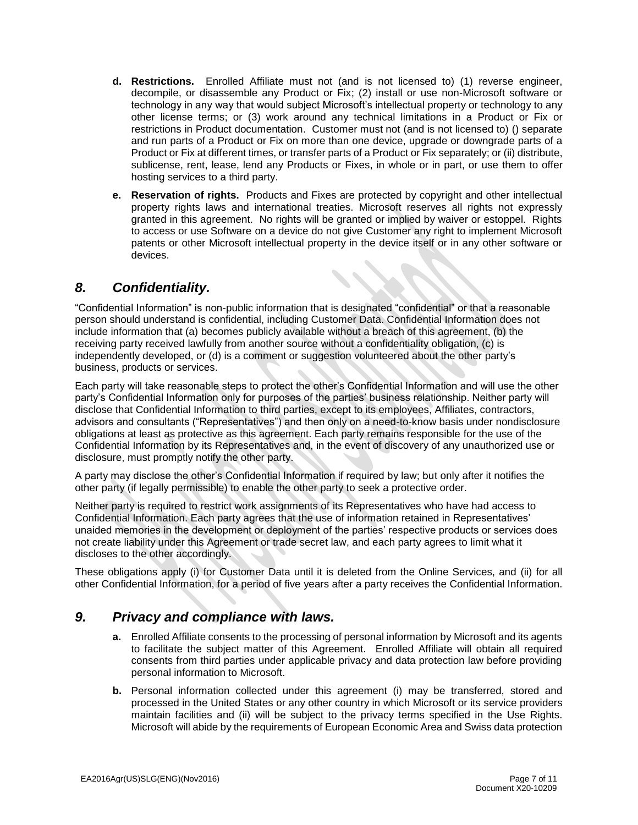- **d. Restrictions.** Enrolled Affiliate must not (and is not licensed to) (1) reverse engineer, decompile, or disassemble any Product or Fix; (2) install or use non-Microsoft software or technology in any way that would subject Microsoft's intellectual property or technology to any other license terms; or (3) work around any technical limitations in a Product or Fix or restrictions in Product documentation. Customer must not (and is not licensed to) () separate and run parts of a Product or Fix on more than one device, upgrade or downgrade parts of a Product or Fix at different times, or transfer parts of a Product or Fix separately; or (ii) distribute, sublicense, rent, lease, lend any Products or Fixes, in whole or in part, or use them to offer hosting services to a third party.
- **e. Reservation of rights.** Products and Fixes are protected by copyright and other intellectual property rights laws and international treaties. Microsoft reserves all rights not expressly granted in this agreement. No rights will be granted or implied by waiver or estoppel. Rights to access or use Software on a device do not give Customer any right to implement Microsoft patents or other Microsoft intellectual property in the device itself or in any other software or devices.

# *8. Confidentiality.*

"Confidential Information" is non-public information that is designated "confidential" or that a reasonable person should understand is confidential, including Customer Data. Confidential Information does not include information that (a) becomes publicly available without a breach of this agreement, (b) the receiving party received lawfully from another source without a confidentiality obligation, (c) is independently developed, or (d) is a comment or suggestion volunteered about the other party's business, products or services.

Each party will take reasonable steps to protect the other's Confidential Information and will use the other party's Confidential Information only for purposes of the parties' business relationship. Neither party will disclose that Confidential Information to third parties, except to its employees, Affiliates, contractors, advisors and consultants ("Representatives") and then only on a need-to-know basis under nondisclosure obligations at least as protective as this agreement. Each party remains responsible for the use of the Confidential Information by its Representatives and, in the event of discovery of any unauthorized use or disclosure, must promptly notify the other party.

A party may disclose the other's Confidential Information if required by law; but only after it notifies the other party (if legally permissible) to enable the other party to seek a protective order.

Neither party is required to restrict work assignments of its Representatives who have had access to Confidential Information. Each party agrees that the use of information retained in Representatives' unaided memories in the development or deployment of the parties' respective products or services does not create liability under this Agreement or trade secret law, and each party agrees to limit what it discloses to the other accordingly.

These obligations apply (i) for Customer Data until it is deleted from the Online Services, and (ii) for all other Confidential Information, for a period of five years after a party receives the Confidential Information.

#### *9. Privacy and compliance with laws.*

- **a.** Enrolled Affiliate consents to the processing of personal information by Microsoft and its agents to facilitate the subject matter of this Agreement. Enrolled Affiliate will obtain all required consents from third parties under applicable privacy and data protection law before providing personal information to Microsoft.
- **b.** Personal information collected under this agreement (i) may be transferred, stored and processed in the United States or any other country in which Microsoft or its service providers maintain facilities and (ii) will be subject to the privacy terms specified in the Use Rights. Microsoft will abide by the requirements of European Economic Area and Swiss data protection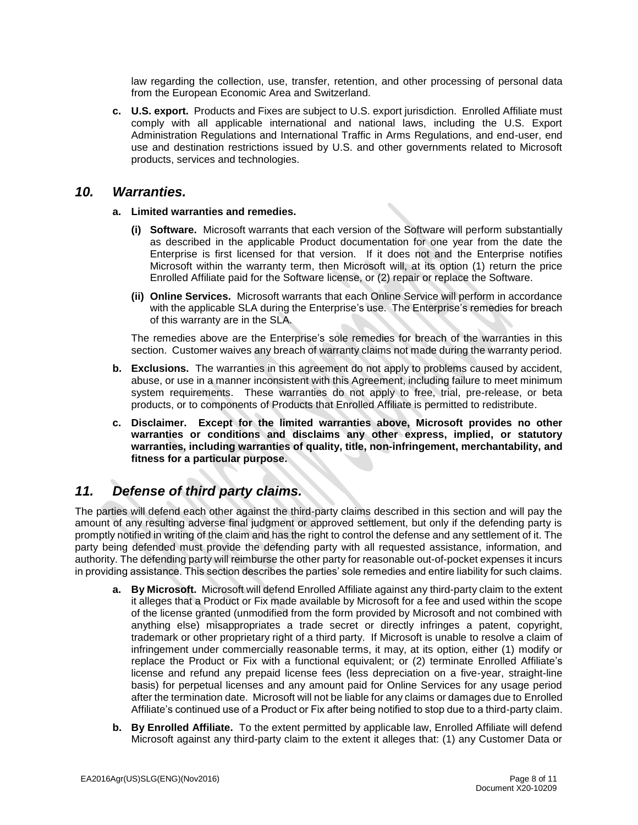law regarding the collection, use, transfer, retention, and other processing of personal data from the European Economic Area and Switzerland.

**c. U.S. export.** Products and Fixes are subject to U.S. export jurisdiction. Enrolled Affiliate must comply with all applicable international and national laws, including the U.S. Export Administration Regulations and International Traffic in Arms Regulations, and end-user, end use and destination restrictions issued by U.S. and other governments related to Microsoft products, services and technologies.

#### *10. Warranties.*

#### **a. Limited warranties and remedies.**

- **(i) Software.** Microsoft warrants that each version of the Software will perform substantially as described in the applicable Product documentation for one year from the date the Enterprise is first licensed for that version. If it does not and the Enterprise notifies Microsoft within the warranty term, then Microsoft will, at its option (1) return the price Enrolled Affiliate paid for the Software license, or (2) repair or replace the Software.
- **(ii) Online Services.** Microsoft warrants that each Online Service will perform in accordance with the applicable SLA during the Enterprise's use. The Enterprise's remedies for breach of this warranty are in the SLA.

The remedies above are the Enterprise's sole remedies for breach of the warranties in this section. Customer waives any breach of warranty claims not made during the warranty period.

- **b. Exclusions.** The warranties in this agreement do not apply to problems caused by accident, abuse, or use in a manner inconsistent with this Agreement, including failure to meet minimum system requirements. These warranties do not apply to free, trial, pre-release, or beta products, or to components of Products that Enrolled Affiliate is permitted to redistribute.
- **c. Disclaimer. Except for the limited warranties above, Microsoft provides no other warranties or conditions and disclaims any other express, implied, or statutory warranties, including warranties of quality, title, non-infringement, merchantability, and fitness for a particular purpose.**

# *11. Defense of third party claims.*

The parties will defend each other against the third-party claims described in this section and will pay the amount of any resulting adverse final judgment or approved settlement, but only if the defending party is promptly notified in writing of the claim and has the right to control the defense and any settlement of it. The party being defended must provide the defending party with all requested assistance, information, and authority. The defending party will reimburse the other party for reasonable out-of-pocket expenses it incurs in providing assistance. This section describes the parties' sole remedies and entire liability for such claims.

- **a. By Microsoft.** Microsoft will defend Enrolled Affiliate against any third-party claim to the extent it alleges that a Product or Fix made available by Microsoft for a fee and used within the scope of the license granted (unmodified from the form provided by Microsoft and not combined with anything else) misappropriates a trade secret or directly infringes a patent, copyright, trademark or other proprietary right of a third party. If Microsoft is unable to resolve a claim of infringement under commercially reasonable terms, it may, at its option, either (1) modify or replace the Product or Fix with a functional equivalent; or (2) terminate Enrolled Affiliate's license and refund any prepaid license fees (less depreciation on a five-year, straight-line basis) for perpetual licenses and any amount paid for Online Services for any usage period after the termination date. Microsoft will not be liable for any claims or damages due to Enrolled Affiliate's continued use of a Product or Fix after being notified to stop due to a third-party claim.
- **b. By Enrolled Affiliate.** To the extent permitted by applicable law, Enrolled Affiliate will defend Microsoft against any third-party claim to the extent it alleges that: (1) any Customer Data or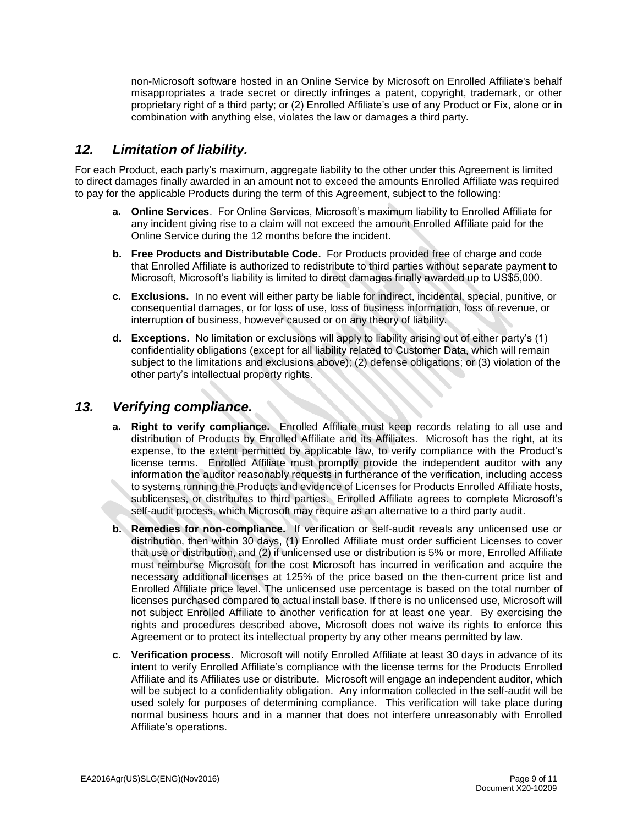non-Microsoft software hosted in an Online Service by Microsoft on Enrolled Affiliate's behalf misappropriates a trade secret or directly infringes a patent, copyright, trademark, or other proprietary right of a third party; or (2) Enrolled Affiliate's use of any Product or Fix, alone or in combination with anything else, violates the law or damages a third party.

# *12. Limitation of liability.*

For each Product, each party's maximum, aggregate liability to the other under this Agreement is limited to direct damages finally awarded in an amount not to exceed the amounts Enrolled Affiliate was required to pay for the applicable Products during the term of this Agreement, subject to the following:

- **a. Online Services**. For Online Services, Microsoft's maximum liability to Enrolled Affiliate for any incident giving rise to a claim will not exceed the amount Enrolled Affiliate paid for the Online Service during the 12 months before the incident.
- **b. Free Products and Distributable Code.** For Products provided free of charge and code that Enrolled Affiliate is authorized to redistribute to third parties without separate payment to Microsoft, Microsoft's liability is limited to direct damages finally awarded up to US\$5,000.
- **c. Exclusions.** In no event will either party be liable for indirect, incidental, special, punitive, or consequential damages, or for loss of use, loss of business information, loss of revenue, or interruption of business, however caused or on any theory of liability.
- **d. Exceptions.** No limitation or exclusions will apply to liability arising out of either party's (1) confidentiality obligations (except for all liability related to Customer Data, which will remain subject to the limitations and exclusions above); (2) defense obligations; or (3) violation of the other party's intellectual property rights.

## *13. Verifying compliance.*

- **a. Right to verify compliance.** Enrolled Affiliate must keep records relating to all use and distribution of Products by Enrolled Affiliate and its Affiliates. Microsoft has the right, at its expense, to the extent permitted by applicable law, to verify compliance with the Product's license terms. Enrolled Affiliate must promptly provide the independent auditor with any information the auditor reasonably requests in furtherance of the verification, including access to systems running the Products and evidence of Licenses for Products Enrolled Affiliate hosts, sublicenses, or distributes to third parties. Enrolled Affiliate agrees to complete Microsoft's self-audit process, which Microsoft may require as an alternative to a third party audit.
- **b. Remedies for non-compliance.** If verification or self-audit reveals any unlicensed use or distribution, then within 30 days, (1) Enrolled Affiliate must order sufficient Licenses to cover that use or distribution, and (2) if unlicensed use or distribution is 5% or more, Enrolled Affiliate must reimburse Microsoft for the cost Microsoft has incurred in verification and acquire the necessary additional licenses at 125% of the price based on the then-current price list and Enrolled Affiliate price level. The unlicensed use percentage is based on the total number of licenses purchased compared to actual install base. If there is no unlicensed use, Microsoft will not subject Enrolled Affiliate to another verification for at least one year. By exercising the rights and procedures described above, Microsoft does not waive its rights to enforce this Agreement or to protect its intellectual property by any other means permitted by law.
- **c. Verification process.** Microsoft will notify Enrolled Affiliate at least 30 days in advance of its intent to verify Enrolled Affiliate's compliance with the license terms for the Products Enrolled Affiliate and its Affiliates use or distribute. Microsoft will engage an independent auditor, which will be subject to a confidentiality obligation. Any information collected in the self-audit will be used solely for purposes of determining compliance. This verification will take place during normal business hours and in a manner that does not interfere unreasonably with Enrolled Affiliate's operations.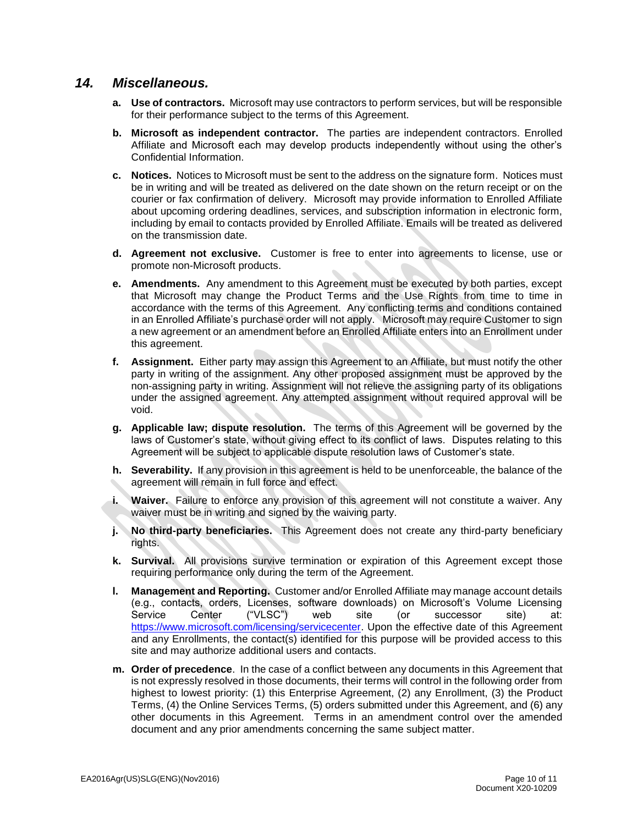#### *14. Miscellaneous.*

- **a. Use of contractors.** Microsoft may use contractors to perform services, but will be responsible for their performance subject to the terms of this Agreement.
- **b. Microsoft as independent contractor.** The parties are independent contractors. Enrolled Affiliate and Microsoft each may develop products independently without using the other's Confidential Information.
- **c. Notices.** Notices to Microsoft must be sent to the address on the signature form. Notices must be in writing and will be treated as delivered on the date shown on the return receipt or on the courier or fax confirmation of delivery. Microsoft may provide information to Enrolled Affiliate about upcoming ordering deadlines, services, and subscription information in electronic form, including by email to contacts provided by Enrolled Affiliate. Emails will be treated as delivered on the transmission date.
- **d. Agreement not exclusive.** Customer is free to enter into agreements to license, use or promote non-Microsoft products.
- **e. Amendments.** Any amendment to this Agreement must be executed by both parties, except that Microsoft may change the Product Terms and the Use Rights from time to time in accordance with the terms of this Agreement. Any conflicting terms and conditions contained in an Enrolled Affiliate's purchase order will not apply. Microsoft may require Customer to sign a new agreement or an amendment before an Enrolled Affiliate enters into an Enrollment under this agreement.
- **f. Assignment.** Either party may assign this Agreement to an Affiliate, but must notify the other party in writing of the assignment. Any other proposed assignment must be approved by the non-assigning party in writing. Assignment will not relieve the assigning party of its obligations under the assigned agreement. Any attempted assignment without required approval will be void.
- **g. Applicable law; dispute resolution.** The terms of this Agreement will be governed by the laws of Customer's state, without giving effect to its conflict of laws. Disputes relating to this Agreement will be subject to applicable dispute resolution laws of Customer's state.
- **h. Severability.** If any provision in this agreement is held to be unenforceable, the balance of the agreement will remain in full force and effect.
- **i. Waiver.** Failure to enforce any provision of this agreement will not constitute a waiver. Any waiver must be in writing and signed by the waiving party.
- **j. No third-party beneficiaries.** This Agreement does not create any third-party beneficiary rights.
- **k. Survival.** All provisions survive termination or expiration of this Agreement except those requiring performance only during the term of the Agreement.
- **l. Management and Reporting.** Customer and/or Enrolled Affiliate may manage account details (e.g., contacts, orders, Licenses, software downloads) on Microsoft's Volume Licensing Service Center ("VLSC") web site (or successor site) at: [https://www.microsoft.com/licensing/servicecenter.](https://www.microsoft.com/licensing/servicecenter) Upon the effective date of this Agreement and any Enrollments, the contact(s) identified for this purpose will be provided access to this site and may authorize additional users and contacts.
- **m. Order of precedence**. In the case of a conflict between any documents in this Agreement that is not expressly resolved in those documents, their terms will control in the following order from highest to lowest priority: (1) this Enterprise Agreement, (2) any Enrollment, (3) the Product Terms, (4) the Online Services Terms, (5) orders submitted under this Agreement, and (6) any other documents in this Agreement. Terms in an amendment control over the amended document and any prior amendments concerning the same subject matter.